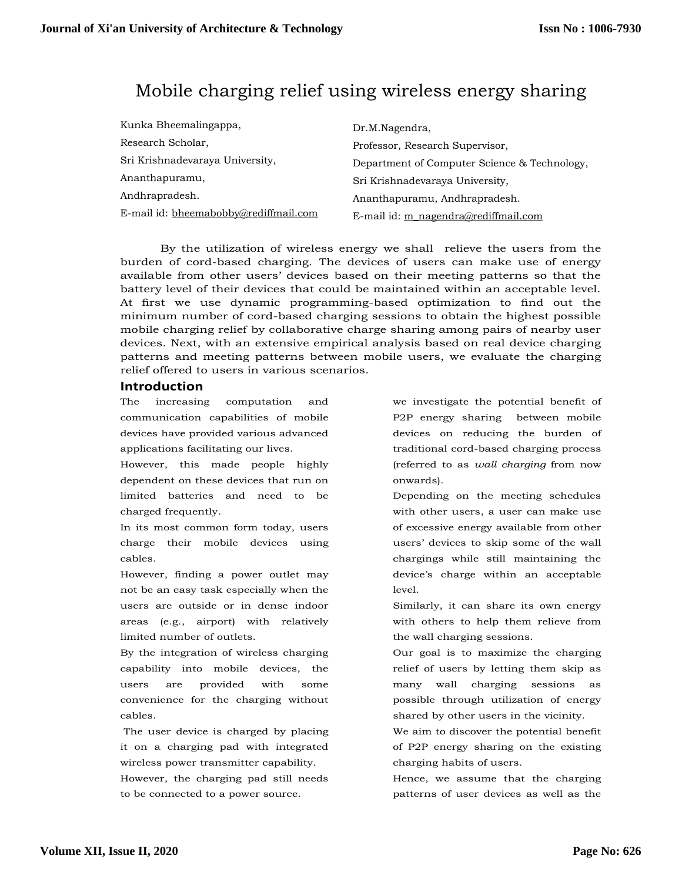# Mobile charging relief using wireless energy sharing

| Kunka Bheemalingappa,                 | Dr.M.Nagendra,                               |
|---------------------------------------|----------------------------------------------|
| Research Scholar,                     | Professor, Research Supervisor,              |
| Sri Krishnadevaraya University,       | Department of Computer Science & Technology, |
| Ananthapuramu,                        | Sri Krishnadevaraya University,              |
| Andhrapradesh.                        | Ananthapuramu, Andhrapradesh.                |
| E-mail id: bheemabobby@rediffmail.com | E-mail id: m_nagendra@rediffmail.com         |

By the utilization of wireless energy we shall relieve the users from the burden of cord-based charging. The devices of users can make use of energy available from other users' devices based on their meeting patterns so that the battery level of their devices that could be maintained within an acceptable level. At first we use dynamic programming-based optimization to find out the minimum number of cord-based charging sessions to obtain the highest possible mobile charging relief by collaborative charge sharing among pairs of nearby user devices. Next, with an extensive empirical analysis based on real device charging patterns and meeting patterns between mobile users, we evaluate the charging relief offered to users in various scenarios.

## **Introduction**

The increasing computation and communication capabilities of mobile devices have provided various advanced applications facilitating our lives.

However, this made people highly dependent on these devices that run on limited batteries and need to be charged frequently.

In its most common form today, users charge their mobile devices using cables.

However, finding a power outlet may not be an easy task especially when the users are outside or in dense indoor areas (e.g., airport) with relatively limited number of outlets.

By the integration of wireless charging capability into mobile devices, the users are provided with some convenience for the charging without cables.

The user device is charged by placing it on a charging pad with integrated wireless power transmitter capability.

However, the charging pad still needs to be connected to a power source.

we investigate the potential benefit of P2P energy sharing between mobile devices on reducing the burden of traditional cord-based charging process (referred to as *wall charging* from now onwards).

Depending on the meeting schedules with other users, a user can make use of excessive energy available from other users' devices to skip some of the wall chargings while still maintaining the device's charge within an acceptable level.

Similarly, it can share its own energy with others to help them relieve from the wall charging sessions.

Our goal is to maximize the charging relief of users by letting them skip as many wall charging sessions as possible through utilization of energy shared by other users in the vicinity.

We aim to discover the potential benefit of P2P energy sharing on the existing charging habits of users.

Hence, we assume that the charging patterns of user devices as well as the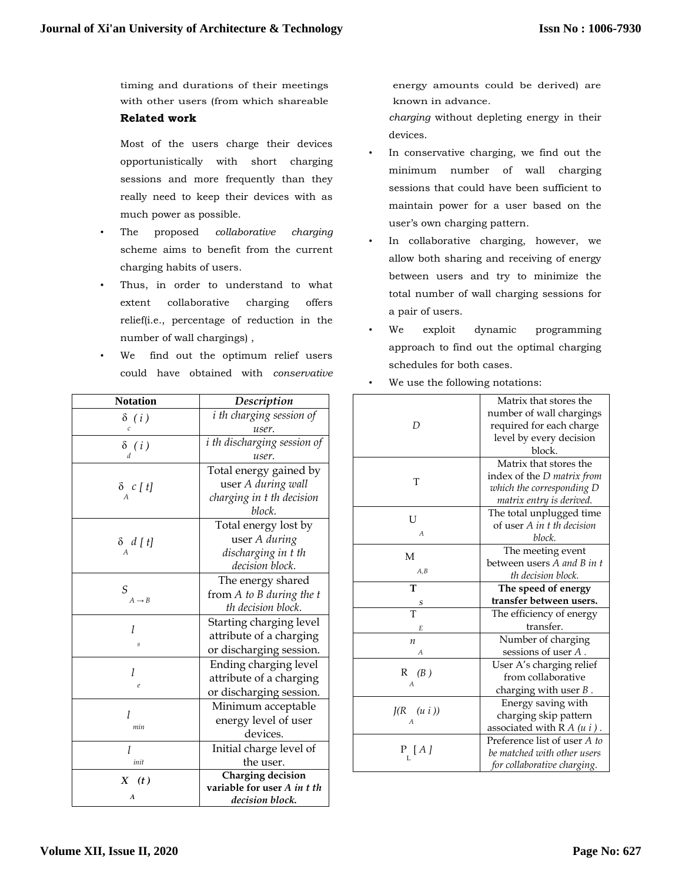timing and durations of their meetings with other users (from which shareable **Related work**

Most of the users charge their devices opportunistically with short charging sessions and more frequently than they really need to keep their devices with as much power as possible.

- The proposed *collaborative charging*  scheme aims to benefit from the current charging habits of users.
- Thus, in order to understand to what extent collaborative charging offers relief(i.e., percentage of reduction in the number of wall chargings) ,
- We find out the optimum relief users could have obtained with *conservative*

| <b>Notation</b>         | Description                     |  |  |  |  |
|-------------------------|---------------------------------|--|--|--|--|
| $\delta$ (i)            | <i>i</i> th charging session of |  |  |  |  |
| $\mathcal{C}_{0}^{(1)}$ | user.                           |  |  |  |  |
| $\delta$ (i)            | i th discharging session of     |  |  |  |  |
| $\overline{d}$          | user.                           |  |  |  |  |
|                         | Total energy gained by          |  |  |  |  |
| $\delta$ c[t]           | user A during wall              |  |  |  |  |
|                         | charging in t th decision       |  |  |  |  |
|                         | block.                          |  |  |  |  |
|                         | Total energy lost by            |  |  |  |  |
| $\delta d[t]$           | user A during                   |  |  |  |  |
|                         | discharging in t th             |  |  |  |  |
|                         | decision block.                 |  |  |  |  |
| S<br>$A \rightarrow B$  | The energy shared               |  |  |  |  |
|                         | from A to B during the t        |  |  |  |  |
|                         | th decision block.              |  |  |  |  |
| 1                       | Starting charging level         |  |  |  |  |
|                         | attribute of a charging         |  |  |  |  |
| S                       | or discharging session.         |  |  |  |  |
| 1                       | Ending charging level           |  |  |  |  |
| $\epsilon$              | attribute of a charging         |  |  |  |  |
|                         | or discharging session.         |  |  |  |  |
|                         | Minimum acceptable              |  |  |  |  |
| l<br>min                | energy level of user            |  |  |  |  |
|                         | devices.                        |  |  |  |  |
|                         | Initial charge level of         |  |  |  |  |
| init                    | the user.                       |  |  |  |  |
| X(t)                    | Charging decision               |  |  |  |  |
| А                       | variable for user A in t th     |  |  |  |  |
|                         | decision block.                 |  |  |  |  |

energy amounts could be derived) are known in advance.

*charging* without depleting energy in their devices.

- In conservative charging, we find out the minimum number of wall charging sessions that could have been sufficient to maintain power for a user based on the user's own charging pattern.
- In collaborative charging, however, we allow both sharing and receiving of energy between users and try to minimize the total number of wall charging sessions for a pair of users.
- We exploit dynamic programming approach to find out the optimal charging schedules for both cases.

|                           | Matrix that stores the                                 |  |  |  |  |
|---------------------------|--------------------------------------------------------|--|--|--|--|
| D                         | number of wall chargings                               |  |  |  |  |
|                           | required for each charge                               |  |  |  |  |
|                           | level by every decision                                |  |  |  |  |
|                           | block.                                                 |  |  |  |  |
|                           | Matrix that stores the                                 |  |  |  |  |
|                           | index of the <i>D</i> matrix from                      |  |  |  |  |
| T                         | which the corresponding D                              |  |  |  |  |
|                           | matrix entry is derived.                               |  |  |  |  |
|                           | The total unplugged time                               |  |  |  |  |
| U                         | of user A in t th decision                             |  |  |  |  |
| $\overline{A}$            | block.                                                 |  |  |  |  |
|                           | The meeting event                                      |  |  |  |  |
| M<br>A,B                  | between users A and B in t                             |  |  |  |  |
|                           | th decision block.                                     |  |  |  |  |
| T                         | The speed of energy                                    |  |  |  |  |
|                           | transfer between users.                                |  |  |  |  |
| $rac{s}{T}$               | The efficiency of energy                               |  |  |  |  |
| F.                        | transfer.                                              |  |  |  |  |
| $\boldsymbol{n}$          | Number of charging                                     |  |  |  |  |
| A                         | sessions of user A.                                    |  |  |  |  |
|                           | User A's charging relief                               |  |  |  |  |
| $R$ (B)<br>$\overline{A}$ | from collaborative                                     |  |  |  |  |
|                           | charging with user $B$ .                               |  |  |  |  |
|                           |                                                        |  |  |  |  |
|                           |                                                        |  |  |  |  |
| $J(R \quad (u i))$        | Energy saving with                                     |  |  |  |  |
|                           | charging skip pattern<br>associated with $R A (u i)$ . |  |  |  |  |
|                           | Preference list of user A to                           |  |  |  |  |
| P[A]                      | be matched with other users                            |  |  |  |  |

We use the following notations: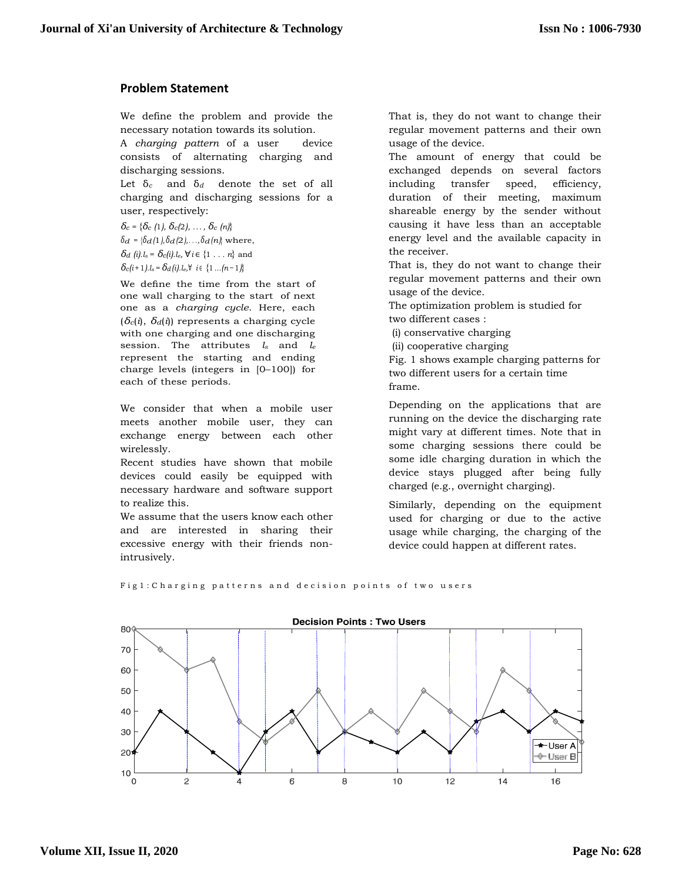# **Problem Statement**

We define the problem and provide the necessary notation towards its solution.

A *charging pattern* of a user device consists of alternating charging and discharging sessions.

Let δ*<sup>c</sup>* and δ*<sup>d</sup>* denote the set of all charging and discharging sessions for a user, respectively:

*δ<sup>c</sup>* = {*δ<sup>c</sup> (*1*), δc(*2*), ... , δ<sup>c</sup> (n)*} *δd* = { $\delta d$  (1*)*,  $\delta d$  (2*)*,..., $\delta d$  (*n*} where, *δd* (*i*)*.l*<sub>s</sub> = *δc*(*i*)*.l*<sub>e</sub>,  $\forall i \in \{1, ..., n\}$  and  $\delta_c(i+1)$ *.l*<sub>s</sub> =  $\delta_d(i)$ *.l*<sub>e</sub>, $\forall$  *i* ∈ {1 *...(n* − 1*)*}

We define the time from the start of one wall charging to the start of next one as a *charging cycle*. Here, each (*δc*(*i*), *δd*(*i*)) represents a charging cycle with one charging and one discharging session. The attributes *l<sup>s</sup>* and *l<sup>e</sup>* represent the starting and ending charge levels (integers in [0–100]) for each of these periods.

We consider that when a mobile user meets another mobile user, they can exchange energy between each other wirelessly.

Recent studies have shown that mobile devices could easily be equipped with necessary hardware and software support to realize this.

We assume that the users know each other and are interested in sharing their excessive energy with their friends nonintrusively.

That is, they do not want to change their regular movement patterns and their own usage of the device.

The amount of energy that could be exchanged depends on several factors including transfer speed, efficiency, duration of their meeting, maximum shareable energy by the sender without causing it have less than an acceptable energy level and the available capacity in the receiver.

That is, they do not want to change their regular movement patterns and their own usage of the device.

The optimization problem is studied for two different cases :

(i) conservative charging

(ii) cooperative charging

Fig. 1 shows example charging patterns for two different users for a certain time frame.

Depending on the applications that are running on the device the discharging rate might vary at different times. Note that in some charging sessions there could be some idle charging duration in which the device stays plugged after being fully charged (e.g., overnight charging).

Similarly, depending on the equipment used for charging or due to the active usage while charging, the charging of the device could happen at different rates.

Fig1: Charging patterns and decision points of two users

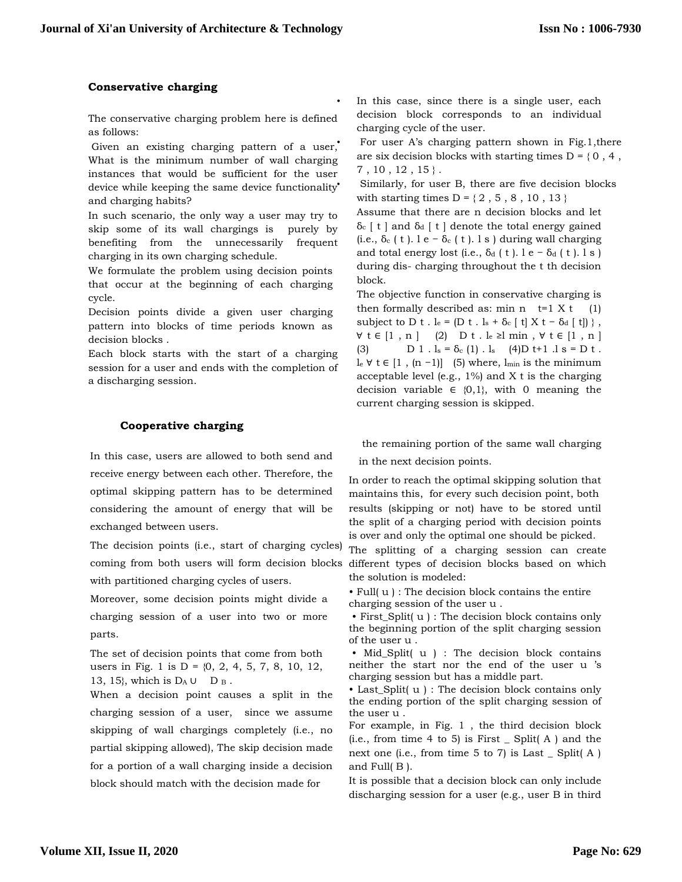## **Conservative charging**

The conservative charging problem here is defined as follows:

Given an existing charging pattern of a user, What is the minimum number of wall charging instances that would be sufficient for the user device while keeping the same device functionality<sup>\*</sup> and charging habits?

In such scenario, the only way a user may try to skip some of its wall chargings is purely by benefiting from the unnecessarily frequent charging in its own charging schedule.

We formulate the problem using decision points that occur at the beginning of each charging cycle.

Decision points divide a given user charging pattern into blocks of time periods known as decision blocks .

Each block starts with the start of a charging session for a user and ends with the completion of a discharging session.

## **Cooperative charging**

In this case, users are allowed to both send and receive energy between each other. Therefore, the optimal skipping pattern has to be determined considering the amount of energy that will be exchanged between users.

The decision points (i.e., start of charging cycles) coming from both users will form decision blocks with partitioned charging cycles of users.

Moreover, some decision points might divide a charging session of a user into two or more parts.

The set of decision points that come from both users in Fig. 1 is  $D = \{0, 2, 4, 5, 7, 8, 10, 12,$ 13, 15}, which is  $D_A \cup D_B$ .

When a decision point causes a split in the charging session of a user, since we assume skipping of wall chargings completely (i.e., no partial skipping allowed), The skip decision made for a portion of a wall charging inside a decision block should match with the decision made for

In this case, since there is a single user, each decision block corresponds to an individual charging cycle of the user.

• For user A's charging pattern shown in Fig.1,there are six decision blocks with starting times  $D = \{0, 4, \ldots\}$  $7, 10, 12, 15$ .

Similarly, for user B, there are five decision blocks with starting times  $D = \{ 2, 5, 8, 10, 13 \}$ 

Assume that there are n decision blocks and let δ<sub>c</sub>  $[t]$  and δ<sub>d</sub>  $[t]$  denote the total energy gained (i.e.,  $\delta_c$  ( t ). l e –  $\delta_c$  ( t ). l s ) during wall charging and total energy lost (i.e.,  $\delta_d$  ( t ). l e −  $\delta_d$  ( t ). l s ) during dis- charging throughout the t th decision block.

The objective function in conservative charging is then formally described as: min n  $t=1$  X t (1) subject to D t . le =  $(D t \cdot l_s + \delta_c |t| X t - \delta_d |t|)$ ,  $∀ t ∈ [1, n]$  (2) D t . le ≥l min,  $∀ t ∈ [1, n]$ (3)  $D \ 1 \ . \ 1_s = \delta_c (1) \ . \ 1_s \quad (4)D \ t+1 \ .1 \ s = D \ t \ .$ le  $\forall$  t ∈ [1, (n −1)] (5) where, l<sub>min</sub> is the minimum acceptable level (e.g.,  $1\%$ ) and X t is the charging decision variable  $\in \{0,1\}$ , with 0 meaning the current charging session is skipped.

the remaining portion of the same wall charging

in the next decision points.

In order to reach the optimal skipping solution that maintains this, for every such decision point, both results (skipping or not) have to be stored until the split of a charging period with decision points is over and only the optimal one should be picked.

The splitting of a charging session can create different types of decision blocks based on which the solution is modeled:

• Full( u ) : The decision block contains the entire charging session of the user u .

• First\_Split( u ) : The decision block contains only the beginning portion of the split charging session of the user u .

• Mid\_Split( u ) : The decision block contains neither the start nor the end of the user u 's charging session but has a middle part.

• Last\_Split( u ) : The decision block contains only the ending portion of the split charging session of the user u .

For example, in Fig. 1 , the third decision block (i.e., from time 4 to 5) is First  $\Box$  Split(A) and the next one (i.e., from time 5 to 7) is Last \_ Split( A ) and Full( B ).

It is possible that a decision block can only include discharging session for a user (e.g., user B in third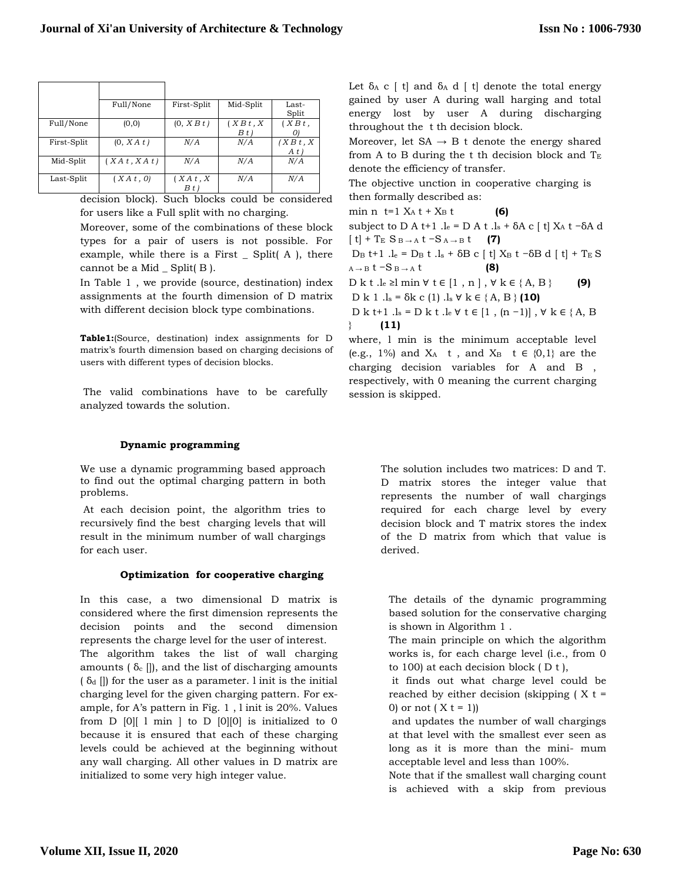|             | Full/None    | First-Split       | Mid-Split          | Last-<br>Split    |
|-------------|--------------|-------------------|--------------------|-------------------|
| Full/None   | (0, 0)       | (0, X B t)        | (X B t, X)<br>B(t) | (X B t,           |
| First-Split | (0, XA t)    | N/A               | N/A                | (X B t, X)<br>A t |
| Mid-Split   | (XA t, XA t) | N/A               | N/A                | N/A               |
| Last-Split  | (XA t, 0)    | XAt, X<br>$B t$ ) | N/A                | N/A               |

decision block). Such blocks could be considered for users like a Full split with no charging.

Moreover, some of the combinations of these block types for a pair of users is not possible. For example, while there is a First  $\angle$  Split(A ), there cannot be a Mid  $\_$  Split( $B$ ).

In Table 1 , we provide (source, destination) index assignments at the fourth dimension of D matrix with different decision block type combinations.

**Table1:**(Source, destination) index assignments for D matrix's fourth dimension based on charging decisions of users with different types of decision blocks.

The valid combinations have to be carefully analyzed towards the solution.

## **Dynamic programming**

We use a dynamic programming based approach to find out the optimal charging pattern in both problems.

At each decision point, the algorithm tries to recursively find the best charging levels that will result in the minimum number of wall chargings for each user.

#### **Optimization for cooperative charging**

In this case, a two dimensional D matrix is considered where the first dimension represents the decision points and the second dimension represents the charge level for the user of interest.

The algorithm takes the list of wall charging amounts ( $\delta_c$  []), and the list of discharging amounts  $(\delta_d)$  []) for the user as a parameter. l init is the initial charging level for the given charging pattern. For example, for A's pattern in Fig. 1 , l init is 20%. Values from  $D$  [0][ 1 min ] to  $D$  [0][0] is initialized to 0 because it is ensured that each of these charging levels could be achieved at the beginning without any wall charging. All other values in D matrix are initialized to some very high integer value.

Let  $\delta_A$  c [ t] and  $\delta_A$  d [ t] denote the total energy gained by user A during wall harging and total energy lost by user A during discharging throughout the t th decision block.

Moreover, let  $SA \rightarrow B$  t denote the energy shared from A to B during the t th decision block and  $T_E$ denote the efficiency of transfer.

The objective unction in cooperative charging is then formally described as:

min n t=1  $X_A$  t +  $X_B$  t **(6)** 

subject to D A t+1  $.l_e = D A t .l_s + \delta A c$  [ t]  $X_A t - \delta A d$  $[t] + T_E S_{B \to A} t - S_{A \to B} t$  **(7)** 

D<sub>B</sub> t+1  $.l_e$  = D<sub>B</sub> t  $.l_s$  +  $\delta$ B c | t| X<sub>B</sub> t − $\delta$ B d | t| + T<sub>E</sub> S  $A \rightarrow B$  t  $-S$   $B \rightarrow A$  t **(8)** 

D k t .l<sub>e</sub> ≥l min  $\forall$  t ∈ [1, n ],  $\forall$  k ∈ {A, B } **(9)** D k 1 .l<sup>s</sup> = δk c (1) .l<sup>s</sup> ∀ k ∈ { A, B } **(10)**

D k t+1 .ls = D k t .le  $\forall$  t ∈ [1, (n -1)],  $\forall$  k ∈ {A, B } **(11)**

where, l min is the minimum acceptable level (e.g., 1%) and  $X_A$  t, and  $X_B$  t  $\in \{0,1\}$  are the charging decision variables for A and B , respectively, with 0 meaning the current charging session is skipped.

> The solution includes two matrices: D and T. D matrix stores the integer value that represents the number of wall chargings required for each charge level by every decision block and T matrix stores the index of the D matrix from which that value is derived.

The details of the dynamic programming based solution for the conservative charging is shown in Algorithm 1 .

The main principle on which the algorithm works is, for each charge level (i.e., from 0 to 100) at each decision block ( D t ),

it finds out what charge level could be reached by either decision (skipping  $(X t =$ 0) or not  $(X_t = 1)$ 

and updates the number of wall chargings at that level with the smallest ever seen as long as it is more than the mini- mum acceptable level and less than 100%.

Note that if the smallest wall charging count is achieved with a skip from previous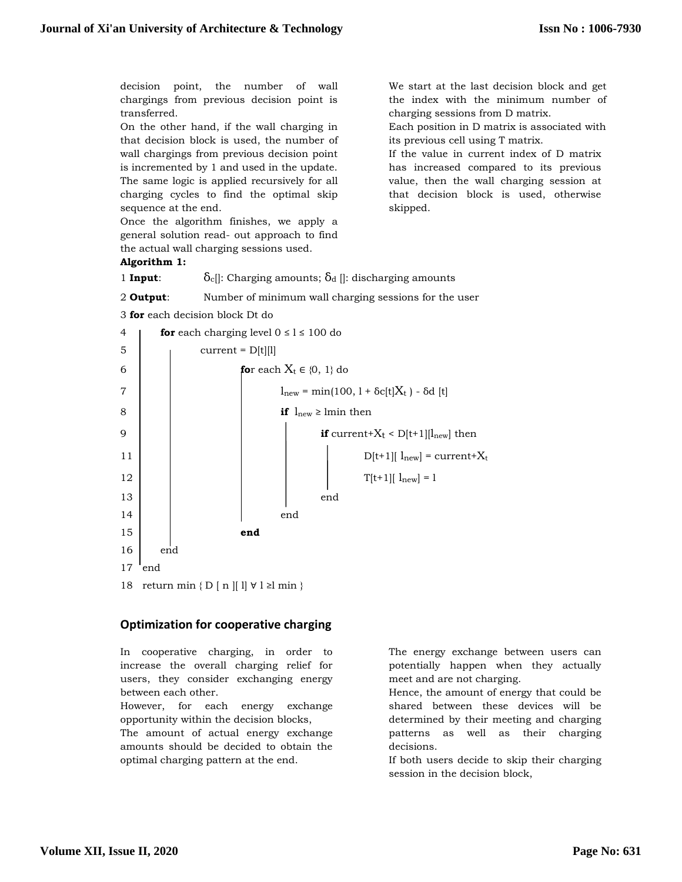We start at the last decision block and get the index with the minimum number of

Each position in D matrix is associated with

If the value in current index of D matrix has increased compared to its previous value, then the wall charging session at that decision block is used, otherwise

charging sessions from D matrix.

its previous cell using T matrix.

skipped.

decision point, the number of wall chargings from previous decision point is transferred.

On the other hand, if the wall charging in that decision block is used, the number of wall chargings from previous decision point is incremented by 1 and used in the update. The same logic is applied recursively for all charging cycles to find the optimal skip sequence at the end.

Once the algorithm finishes, we apply a general solution read- out approach to find the actual wall charging sessions used.

## **Algorithm 1:**

1 **Input**:  $\delta_c$ : Charging amounts;  $\delta_d$  : discharging amounts

2 **Output**: Number of minimum wall charging sessions for the user

```
3 for each decision block Dt do
```


## **Optimization for cooperative charging**

In cooperative charging, in order to increase the overall charging relief for users, they consider exchanging energy between each other.

However, for each energy exchange opportunity within the decision blocks,

The amount of actual energy exchange amounts should be decided to obtain the optimal charging pattern at the end.

The energy exchange between users can potentially happen when they actually meet and are not charging.

Hence, the amount of energy that could be shared between these devices will be determined by their meeting and charging patterns as well as their charging decisions.

If both users decide to skip their charging session in the decision block,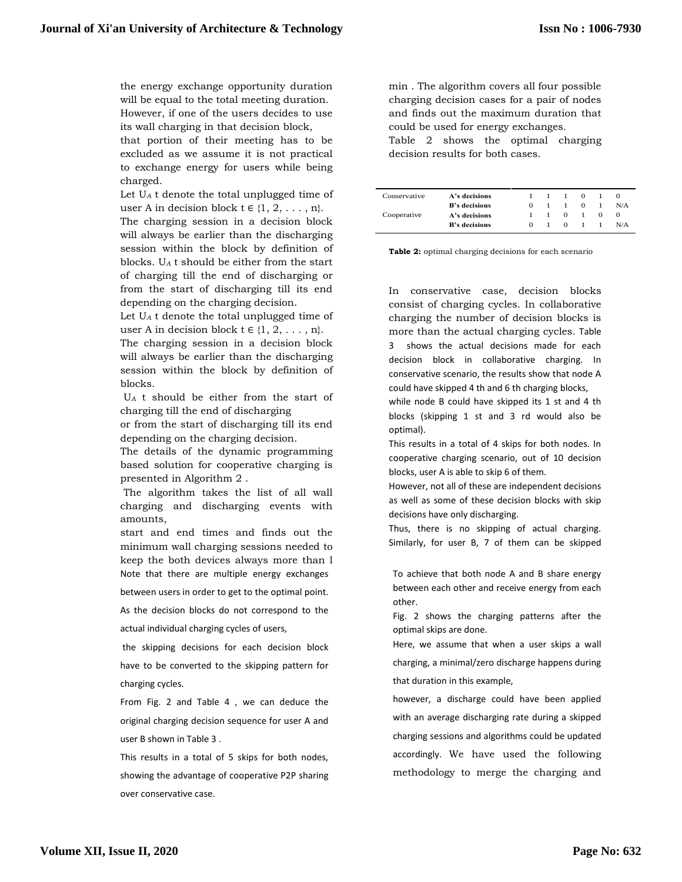the energy exchange opportunity duration will be equal to the total meeting duration. However, if one of the users decides to use its wall charging in that decision block, that portion of their meeting has to be

excluded as we assume it is not practical to exchange energy for users while being charged.

Let U*<sup>A</sup>* t denote the total unplugged time of user A in decision block  $t \in \{1, 2, \ldots, n\}$ .

The charging session in a decision block will always be earlier than the discharging session within the block by definition of blocks. U*<sup>A</sup>* t should be either from the start of charging till the end of discharging or from the start of discharging till its end depending on the charging decision.

Let U*<sup>A</sup>* t denote the total unplugged time of user A in decision block  $t \in \{1, 2, \ldots, n\}$ .

The charging session in a decision block will always be earlier than the discharging session within the block by definition of blocks.

U*<sup>A</sup>* t should be either from the start of charging till the end of discharging

or from the start of discharging till its end depending on the charging decision.

The details of the dynamic programming based solution for cooperative charging is presented in Algorithm 2 .

The algorithm takes the list of all wall charging and discharging events with amounts,

start and end times and finds out the minimum wall charging sessions needed to keep the both devices always more than l Note that there are multiple energy exchanges

between users in order to get to the optimal point.

As the decision blocks do not correspond to the actual individual charging cycles of users,

the skipping decisions for each decision block have to be converted to the skipping pattern for charging cycles.

From Fig. 2 and Table 4 , we can deduce the original charging decision sequence for user A and user B shown in Table 3 .

This results in a total of 5 skips for both nodes, showing the advantage of cooperative P2P sharing over conservative case.

min . The algorithm covers all four possible charging decision cases for a pair of nodes and finds out the maximum duration that could be used for energy exchanges. Table 2 shows the optimal charging

decision results for both cases.

| Conservative | A's decisions        |   | $\mathbf{1}$ | -1         | $\Omega$ |            |     |
|--------------|----------------------|---|--------------|------------|----------|------------|-----|
|              | <b>B's decisions</b> | 0 |              |            | 0        |            | N/A |
| Cooperative  | A's decisions        |   |              | $^{\circ}$ |          | $^{\circ}$ |     |
|              | <b>B's decisions</b> | 0 |              | 0          |          |            | N/A |

**Table 2:** optimal charging decisions for each scenario

In conservative case, decision blocks consist of charging cycles. In collaborative charging the number of decision blocks is more than the actual charging cycles. Table 3 shows the actual decisions made for each decision block in collaborative charging. In conservative scenario, the results show that node A could have skipped 4 th and 6 th charging blocks,

while node B could have skipped its 1 st and 4 th blocks (skipping 1 st and 3 rd would also be optimal).

This results in a total of 4 skips for both nodes. In cooperative charging scenario, out of 10 decision blocks, user A is able to skip 6 of them.

However, not all of these are independent decisions as well as some of these decision blocks with skip decisions have only discharging.

Thus, there is no skipping of actual charging. Similarly, for user B, 7 of them can be skipped

To achieve that both node A and B share energy between each other and receive energy from each other.

Fig. 2 shows the charging patterns after the optimal skips are done.

Here, we assume that when a user skips a wall charging, a minimal/zero discharge happens during that duration in this example,

however, a discharge could have been applied with an average discharging rate during a skipped charging sessions and algorithms could be updated accordingly. We have used the following methodology to merge the charging and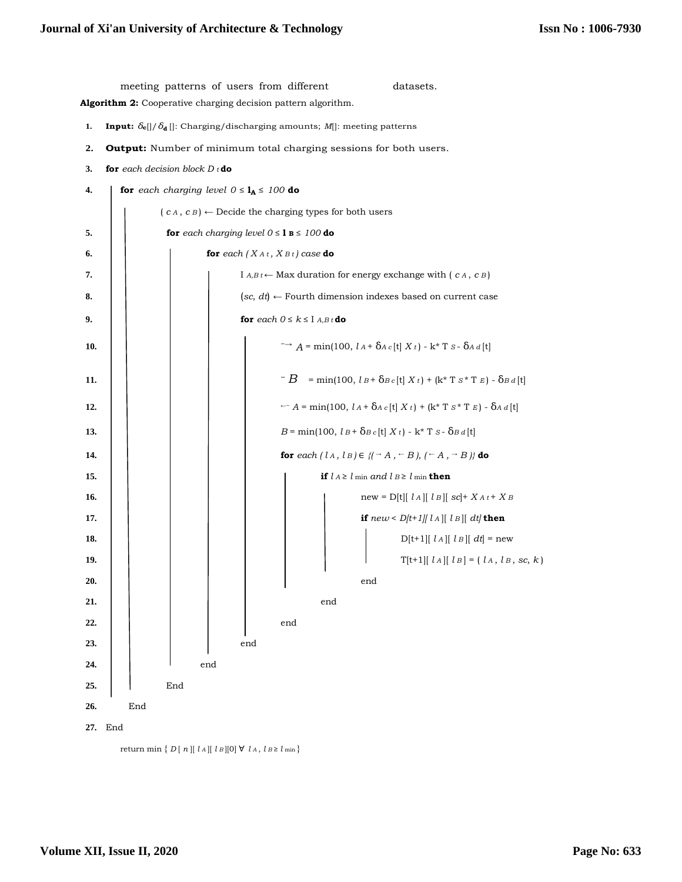meeting patterns of users from different datasets. **Algorithm 2:** Cooperative charging decision pattern algorithm. **1. Input:**  $\delta_{\mathbf{c}}[/\delta_{\mathbf{d}}[]$ : Charging/discharging amounts; *M*[]: meeting patterns **2. Output:** Number of minimum total charging sessions for both users. **3. for** *each decision block D t* **do 4.** *for each charging level* $0 \le \mathbf{l}_A \le 100$  **do**  $(c \land c \land c) \leftarrow$  Decide the charging types for both users **5.**  $\vert$  **for** *each charging level*  $0 \le \mathbf{1} \le \mathbf{100}$  **do 6.**  $\vert$  **for**  $\vert$  **for**  $\vert$  *k*<sub>At</sub>,  $X$ <sub>*Bt*</sub> $)$  *case* **do 7.**  $\begin{bmatrix} \phantom{\int} \end{bmatrix}$  **I** *A,B*<sub>*t*</sub> ← **Max** duration for energy exchange with (*c A*, *c B*) **8.** (*sc*, *dt*) ← Fourth dimension indexes based on current case **9. for**  $\operatorname{each} 0 \le k \le 1$  *A*,*B* t **do 10.**  $\left| \int_0^{\pi} \right| \left| \int_0^{\pi} \right| \to A = \min(100, l_A + \delta_{A} c |t| X t) - k^* T s - \delta_{A} d |t|$ **11.**  $\begin{vmatrix} \cdot & \cdot & \cdot \\ \cdot & \cdot & \cdot \end{vmatrix}$   $\begin{vmatrix} - & B \cdot \sin(100, l_B + \delta_{Bc} [t] X t) + (\mathbf{k}^* \mathbf{T} S^* \mathbf{T} E) - \delta_{Bd} [t] \end{vmatrix}$ **12.** ←− *A* = min(100, *l A* + δ*A c* [t] *X t* ) + (k\* T *S* \* T *E* ) - δ*A d* [t] **13.**  $\begin{bmatrix} \phantom{-} \\ \phantom{-} \end{bmatrix}$   $\begin{bmatrix} B = \min(100, l \cdot B + \delta B c \, [t] \, X \, t) - k^* \, T \, S - \delta B d \, [t] \end{bmatrix}$ **14. for**  $\{ [A, I] \in \{ (-A, -B), (-A, -B) \}$  **do 15. if** *l A* ≥ *l* min *and l B* ≥ *l* min **then 16.**  $\begin{bmatrix} \phantom{i} \end{bmatrix}$   $\begin{bmatrix} \phantom{i} \end{bmatrix}$   $\begin{bmatrix} \phantom{i} \end{bmatrix}$   $\begin{bmatrix} \phantom{i} \end{bmatrix}$   $\begin{bmatrix} \phantom{i} \end{bmatrix}$   $\begin{bmatrix} \phantom{i} \end{bmatrix}$   $\begin{bmatrix} \phantom{i} \end{bmatrix}$   $\begin{bmatrix} \phantom{i} \end{bmatrix}$   $\begin{bmatrix} \phantom{i} \end{bmatrix}$   $\begin{bmatrix} \phantom{i} \end{bmatrix}$   $\begin{bmatrix} \phantom{i} \end{$ **17.**  $\begin{bmatrix} \n\end{bmatrix}$   $\begin{bmatrix} \n\end{bmatrix}$   $\begin{bmatrix} \n\end{bmatrix}$   $\begin{bmatrix} \n\end{bmatrix}$   $\begin{bmatrix} \n\end{bmatrix}$   $\begin{bmatrix} \n\end{bmatrix}$   $\begin{bmatrix} \n\end{bmatrix}$   $\begin{bmatrix} \n\end{bmatrix}$   $\begin{bmatrix} \n\end{bmatrix}$   $\begin{bmatrix} \n\end{bmatrix}$   $\begin{bmatrix} \n\end{bmatrix}$   $\begin{bmatrix} \n\end{bmatrix}$   $\begin{bmatrix} \n\end$ **18.**  $\begin{vmatrix} \cdot & \cdot & \cdot \\ \cdot & \cdot & \cdot \\ \cdot & \cdot & \cdot \end{vmatrix}$   $\begin{vmatrix} \cdot & \cdot & \cdot \\ \cdot & \cdot & \cdot \\ \cdot & \cdot & \cdot \end{vmatrix}$   $\begin{vmatrix} \cdot & \cdot & \cdot \\ \cdot & \cdot & \cdot \\ \cdot & \cdot & \cdot \end{vmatrix}$   $\begin{vmatrix} \cdot & \cdot & \cdot \\ \cdot & \cdot & \cdot \\ \cdot & \cdot & \cdot \end{vmatrix}$   $\begin{vmatrix} \cdot & \cdot & \cdot \\ \cdot & \cdot & \cdot \\ \cdot & \cdot & \cdot \end{vmatrix}$   $\begin{vmatrix} \cdot &$ **19.**  $\left| \begin{array}{c} | \\ | \\ | \end{array} \right| = \left| \begin{array}{c} | \\ | \\ | \end{array} \right| = \left| \begin{array}{c} | \\ | \\ | \end{array} \right| = \left| \begin{array}{c} | \\ | \\ | \end{array} \right| = \left| \begin{array}{c} | \\ | \\ | \end{array} \right| = \left| \begin{array}{c} | \\ | \\ | \end{array} \right| = \left| \begin{array}{c} | \\ | \\ | \end{array} \right| = \left| \begin{array}{c} | \\ | \\ | \end{array} \right| = \left| \begin{array}{c} | \\ | \\ | \end{array} \right$ 20. | | | | | | | | end **21.** end **22.** | | | | | | end **23.**  $\vert$   $\vert$   $\vert$   $\vert$  end 24.  $\vert$   $\vert$   $\vert$   $\vert$  end **25.** End **26.** End **27.** End return min  $\{ D [ n ] [ l A ] [ l B ] [ 0 ] \forall l A, l B \ge l \min \}$